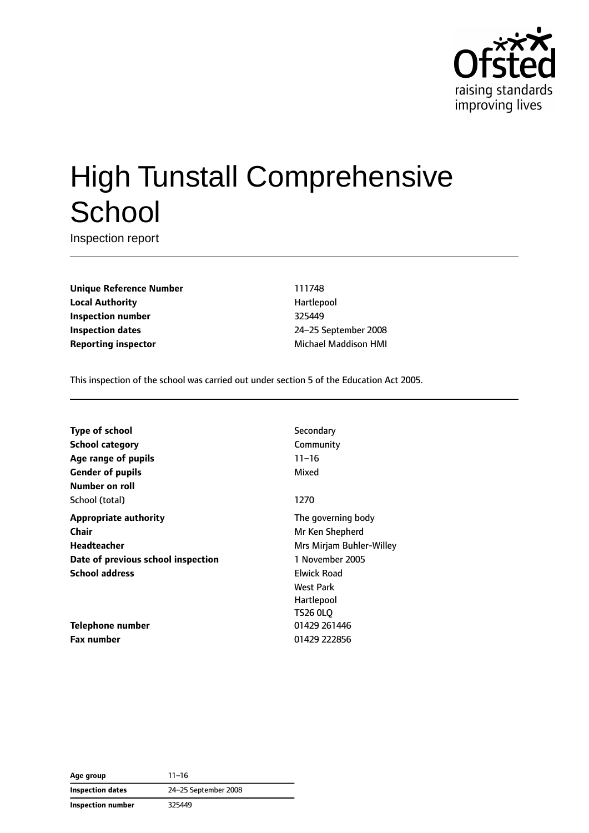

# High Tunstall Comprehensive **School**

Inspection report

**Unique Reference Number** 111748 **Local Authority Hartlepool Inspection number** 325449 **Inspection dates** 24–25 September 2008 **Reporting inspector** Michael Maddison HMI

This inspection of the school was carried out under section 5 of the Education Act 2005.

**Type of school** Secondary **School category** Community **Age range of pupils** 11–16 **Gender of pupils** Mixed **Number on roll** School (total) 1270 **Appropriate authority** The governing body **Chair** Mr Ken Shepherd **Headteacher** Mrs Mirjam Buhler-Willey **Date of previous school inspection** 1 November 2005 **School address** Elwick Road

**Telephone number** 01429 261446 **Fax number** 01429 222856

West Park Hartlepool TS26 0LQ

**Age group** 11–16 **Inspection dates** 24–25 September 2008 **Inspection number** 325449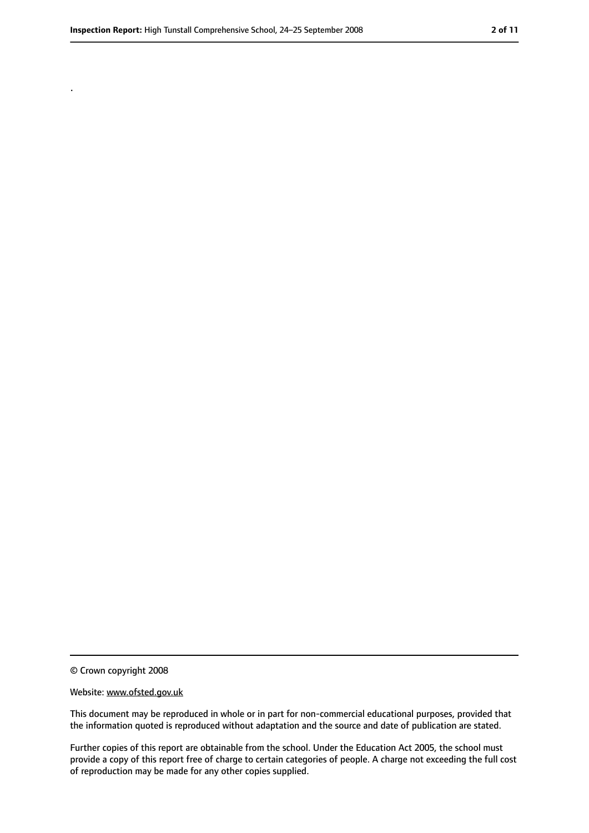.

<sup>©</sup> Crown copyright 2008

Website: www.ofsted.gov.uk

This document may be reproduced in whole or in part for non-commercial educational purposes, provided that the information quoted is reproduced without adaptation and the source and date of publication are stated.

Further copies of this report are obtainable from the school. Under the Education Act 2005, the school must provide a copy of this report free of charge to certain categories of people. A charge not exceeding the full cost of reproduction may be made for any other copies supplied.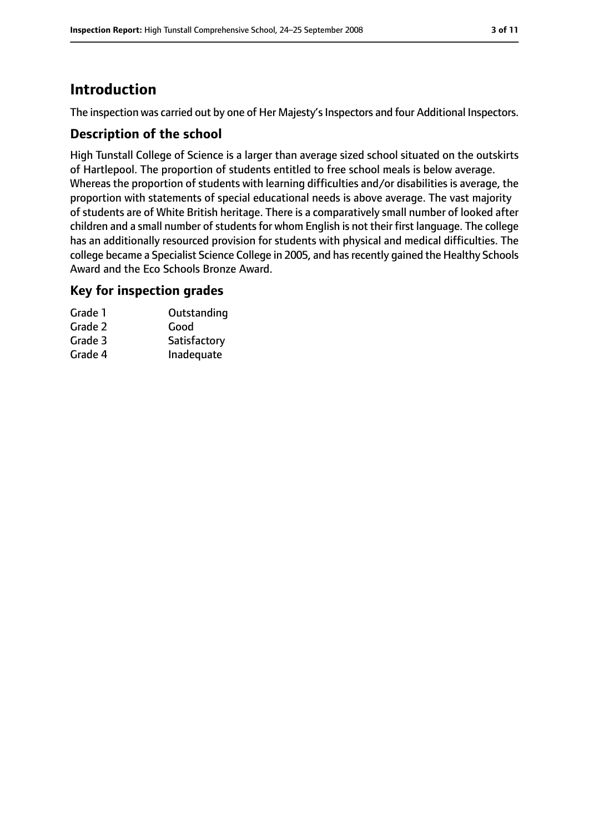# **Introduction**

The inspection was carried out by one of Her Majesty's Inspectors and four Additional Inspectors.

## **Description of the school**

High Tunstall College of Science is a larger than average sized school situated on the outskirts of Hartlepool. The proportion of students entitled to free school meals is below average. Whereas the proportion of students with learning difficulties and/or disabilities is average, the proportion with statements of special educational needs is above average. The vast majority of students are of White British heritage. There is a comparatively small number of looked after children and a small number of students for whom English is not their first language. The college has an additionally resourced provision for students with physical and medical difficulties. The college became a Specialist Science College in 2005, and hasrecently gained the Healthy Schools Award and the Eco Schools Bronze Award.

#### **Key for inspection grades**

| Outstanding  |
|--------------|
|              |
| Satisfactory |
| Inadequate   |
|              |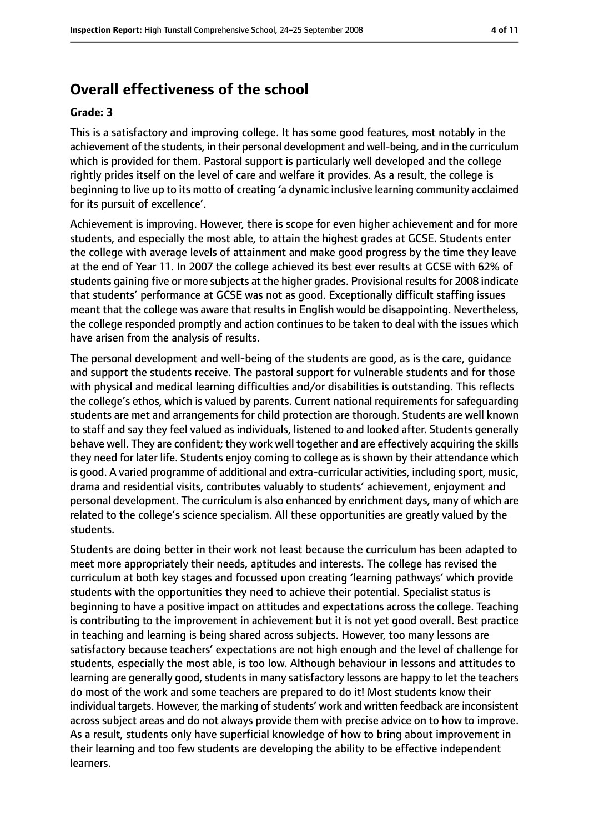# **Overall effectiveness of the school**

#### **Grade: 3**

This is a satisfactory and improving college. It has some good features, most notably in the achievement of the students, in their personal development and well-being, and in the curriculum which is provided for them. Pastoral support is particularly well developed and the college rightly prides itself on the level of care and welfare it provides. As a result, the college is beginning to live up to its motto of creating 'a dynamic inclusive learning community acclaimed for its pursuit of excellence'.

Achievement is improving. However, there is scope for even higher achievement and for more students, and especially the most able, to attain the highest grades at GCSE. Students enter the college with average levels of attainment and make good progress by the time they leave at the end of Year 11. In 2007 the college achieved its best ever results at GCSE with 62% of students gaining five or more subjects at the higher grades. Provisional results for 2008 indicate that students' performance at GCSE was not as good. Exceptionally difficult staffing issues meant that the college was aware that results in English would be disappointing. Nevertheless, the college responded promptly and action continues to be taken to deal with the issues which have arisen from the analysis of results.

The personal development and well-being of the students are good, as is the care, guidance and support the students receive. The pastoral support for vulnerable students and for those with physical and medical learning difficulties and/or disabilities is outstanding. This reflects the college's ethos, which is valued by parents. Current national requirements for safeguarding students are met and arrangements for child protection are thorough. Students are well known to staff and say they feel valued as individuals, listened to and looked after. Students generally behave well. They are confident; they work well together and are effectively acquiring the skills they need for later life. Students enjoy coming to college as is shown by their attendance which is good. A varied programme of additional and extra-curricular activities, including sport, music, drama and residential visits, contributes valuably to students' achievement, enjoyment and personal development. The curriculum is also enhanced by enrichment days, many of which are related to the college's science specialism. All these opportunities are greatly valued by the students.

Students are doing better in their work not least because the curriculum has been adapted to meet more appropriately their needs, aptitudes and interests. The college has revised the curriculum at both key stages and focussed upon creating 'learning pathways' which provide students with the opportunities they need to achieve their potential. Specialist status is beginning to have a positive impact on attitudes and expectations across the college. Teaching is contributing to the improvement in achievement but it is not yet good overall. Best practice in teaching and learning is being shared across subjects. However, too many lessons are satisfactory because teachers' expectations are not high enough and the level of challenge for students, especially the most able, is too low. Although behaviour in lessons and attitudes to learning are generally good, students in many satisfactory lessons are happy to let the teachers do most of the work and some teachers are prepared to do it! Most students know their individual targets. However, the marking of students' work and written feedback are inconsistent across subject areas and do not always provide them with precise advice on to how to improve. As a result, students only have superficial knowledge of how to bring about improvement in their learning and too few students are developing the ability to be effective independent learners.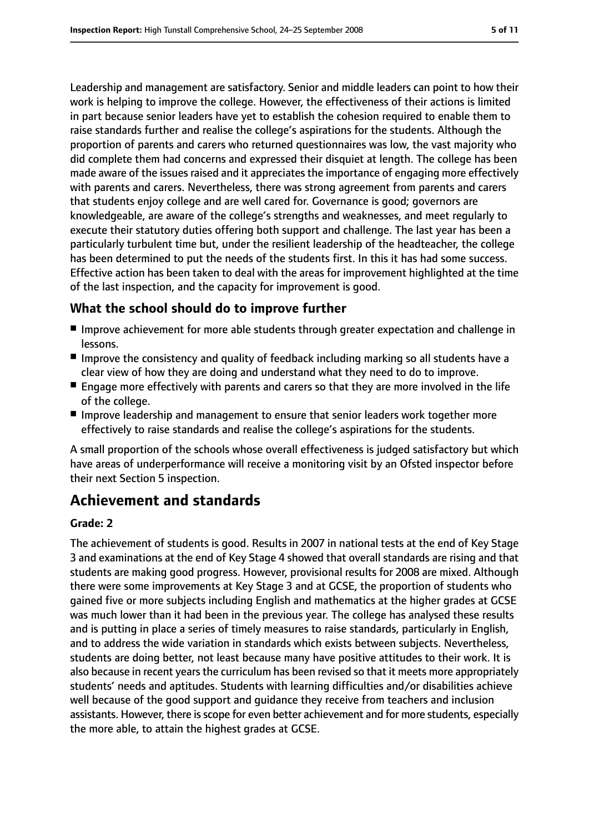Leadership and management are satisfactory. Senior and middle leaders can point to how their work is helping to improve the college. However, the effectiveness of their actions is limited in part because senior leaders have yet to establish the cohesion required to enable them to raise standards further and realise the college's aspirations for the students. Although the proportion of parents and carers who returned questionnaires was low, the vast majority who did complete them had concerns and expressed their disquiet at length. The college has been made aware of the issues raised and it appreciates the importance of engaging more effectively with parents and carers. Nevertheless, there was strong agreement from parents and carers that students enjoy college and are well cared for. Governance is good; governors are knowledgeable, are aware of the college's strengths and weaknesses, and meet regularly to execute their statutory duties offering both support and challenge. The last year has been a particularly turbulent time but, under the resilient leadership of the headteacher, the college has been determined to put the needs of the students first. In this it has had some success. Effective action has been taken to deal with the areas for improvement highlighted at the time of the last inspection, and the capacity for improvement is good.

## **What the school should do to improve further**

- Improve achievement for more able students through greater expectation and challenge in lessons.
- Improve the consistency and quality of feedback including marking so all students have a clear view of how they are doing and understand what they need to do to improve.
- Engage more effectively with parents and carers so that they are more involved in the life of the college.
- Improve leadership and management to ensure that senior leaders work together more effectively to raise standards and realise the college's aspirations for the students.

A small proportion of the schools whose overall effectiveness is judged satisfactory but which have areas of underperformance will receive a monitoring visit by an Ofsted inspector before their next Section 5 inspection.

# **Achievement and standards**

#### **Grade: 2**

The achievement of students is good. Results in 2007 in national tests at the end of Key Stage 3 and examinations at the end of Key Stage 4 showed that overall standards are rising and that students are making good progress. However, provisional results for 2008 are mixed. Although there were some improvements at Key Stage 3 and at GCSE, the proportion of students who gained five or more subjects including English and mathematics at the higher grades at GCSE was much lower than it had been in the previous year. The college has analysed these results and is putting in place a series of timely measures to raise standards, particularly in English, and to address the wide variation in standards which exists between subjects. Nevertheless, students are doing better, not least because many have positive attitudes to their work. It is also because in recent years the curriculum has been revised so that it meets more appropriately students' needs and aptitudes. Students with learning difficulties and/or disabilities achieve well because of the good support and guidance they receive from teachers and inclusion assistants. However, there isscope for even better achievement and for more students, especially the more able, to attain the highest grades at GCSE.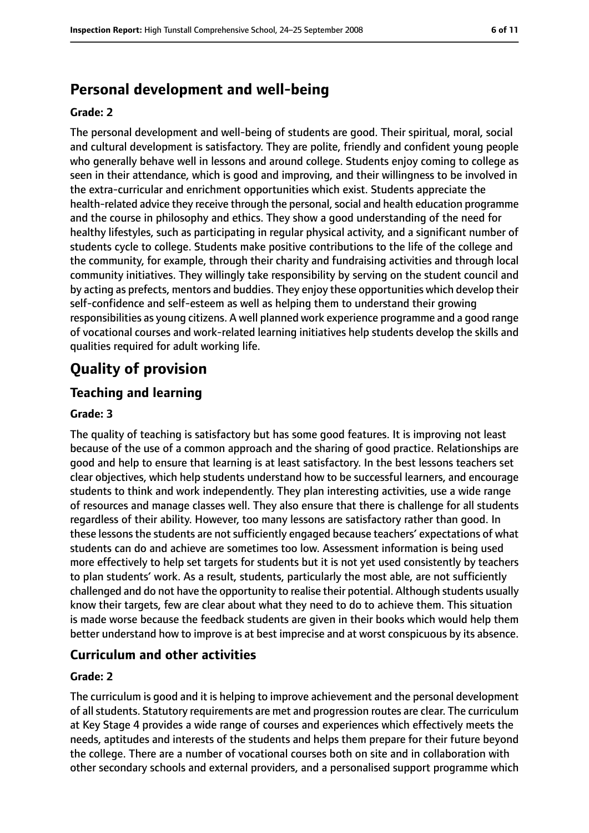# **Personal development and well-being**

#### **Grade: 2**

The personal development and well-being of students are good. Their spiritual, moral, social and cultural development is satisfactory. They are polite, friendly and confident young people who generally behave well in lessons and around college. Students enjoy coming to college as seen in their attendance, which is good and improving, and their willingness to be involved in the extra-curricular and enrichment opportunities which exist. Students appreciate the health-related advice they receive through the personal, social and health education programme and the course in philosophy and ethics. They show a good understanding of the need for healthy lifestyles, such as participating in regular physical activity, and a significant number of students cycle to college. Students make positive contributions to the life of the college and the community, for example, through their charity and fundraising activities and through local community initiatives. They willingly take responsibility by serving on the student council and by acting as prefects, mentors and buddies. They enjoy these opportunities which develop their self-confidence and self-esteem as well as helping them to understand their growing responsibilities as young citizens. A well planned work experience programme and a good range of vocational courses and work-related learning initiatives help students develop the skills and qualities required for adult working life.

# **Quality of provision**

## **Teaching and learning**

#### **Grade: 3**

The quality of teaching is satisfactory but has some good features. It is improving not least because of the use of a common approach and the sharing of good practice. Relationships are good and help to ensure that learning is at least satisfactory. In the best lessons teachers set clear objectives, which help students understand how to be successful learners, and encourage students to think and work independently. They plan interesting activities, use a wide range of resources and manage classes well. They also ensure that there is challenge for all students regardless of their ability. However, too many lessons are satisfactory rather than good. In these lessons the students are not sufficiently engaged because teachers' expectations of what students can do and achieve are sometimes too low. Assessment information is being used more effectively to help set targets for students but it is not yet used consistently by teachers to plan students' work. As a result, students, particularly the most able, are not sufficiently challenged and do not have the opportunity to realise their potential. Although students usually know their targets, few are clear about what they need to do to achieve them. This situation is made worse because the feedback students are given in their books which would help them better understand how to improve is at best imprecise and at worst conspicuous by its absence.

#### **Curriculum and other activities**

#### **Grade: 2**

The curriculum is good and it is helping to improve achievement and the personal development of all students. Statutory requirements are met and progression routes are clear. The curriculum at Key Stage 4 provides a wide range of courses and experiences which effectively meets the needs, aptitudes and interests of the students and helps them prepare for their future beyond the college. There are a number of vocational courses both on site and in collaboration with other secondary schools and external providers, and a personalised support programme which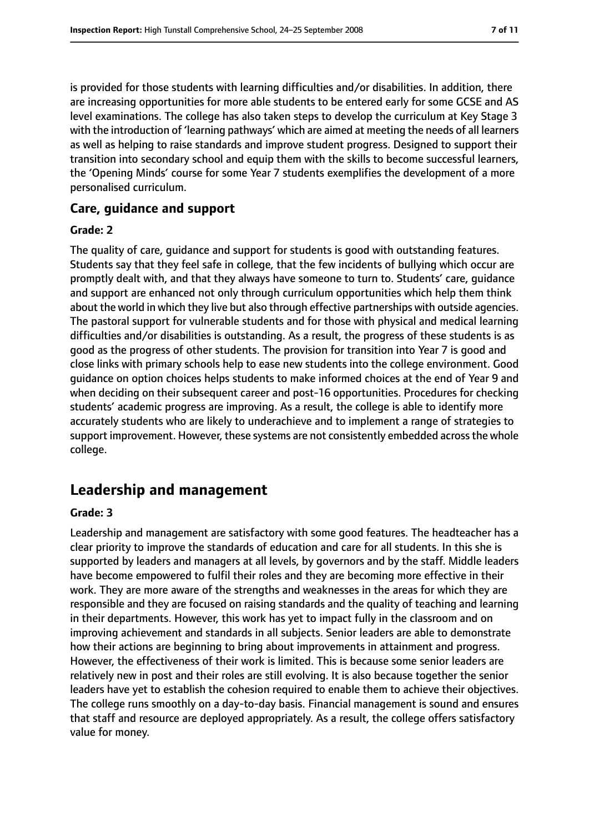is provided for those students with learning difficulties and/or disabilities. In addition, there are increasing opportunities for more able students to be entered early for some GCSE and AS level examinations. The college has also taken steps to develop the curriculum at Key Stage 3 with the introduction of 'learning pathways' which are aimed at meeting the needs of all learners as well as helping to raise standards and improve student progress. Designed to support their transition into secondary school and equip them with the skills to become successful learners, the 'Opening Minds' course for some Year 7 students exemplifies the development of a more personalised curriculum.

## **Care, guidance and support**

#### **Grade: 2**

The quality of care, guidance and support for students is good with outstanding features. Students say that they feel safe in college, that the few incidents of bullying which occur are promptly dealt with, and that they always have someone to turn to. Students' care, guidance and support are enhanced not only through curriculum opportunities which help them think about the world in which they live but also through effective partnerships with outside agencies. The pastoral support for vulnerable students and for those with physical and medical learning difficulties and/or disabilities is outstanding. As a result, the progress of these students is as good as the progress of other students. The provision for transition into Year 7 is good and close links with primary schools help to ease new students into the college environment. Good guidance on option choices helps students to make informed choices at the end of Year 9 and when deciding on their subsequent career and post-16 opportunities. Procedures for checking students' academic progress are improving. As a result, the college is able to identify more accurately students who are likely to underachieve and to implement a range of strategies to support improvement. However, these systems are not consistently embedded across the whole college.

## **Leadership and management**

#### **Grade: 3**

Leadership and management are satisfactory with some good features. The headteacher has a clear priority to improve the standards of education and care for all students. In this she is supported by leaders and managers at all levels, by governors and by the staff. Middle leaders have become empowered to fulfil their roles and they are becoming more effective in their work. They are more aware of the strengths and weaknesses in the areas for which they are responsible and they are focused on raising standards and the quality of teaching and learning in their departments. However, this work has yet to impact fully in the classroom and on improving achievement and standards in all subjects. Senior leaders are able to demonstrate how their actions are beginning to bring about improvements in attainment and progress. However, the effectiveness of their work is limited. This is because some senior leaders are relatively new in post and their roles are still evolving. It is also because together the senior leaders have yet to establish the cohesion required to enable them to achieve their objectives. The college runs smoothly on a day-to-day basis. Financial management is sound and ensures that staff and resource are deployed appropriately. As a result, the college offers satisfactory value for money.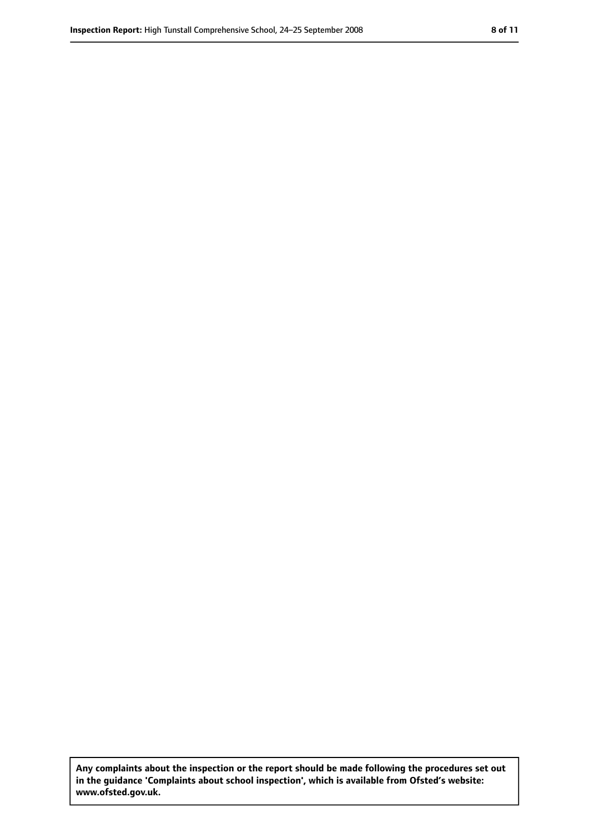**Any complaints about the inspection or the report should be made following the procedures set out in the guidance 'Complaints about school inspection', which is available from Ofsted's website: www.ofsted.gov.uk.**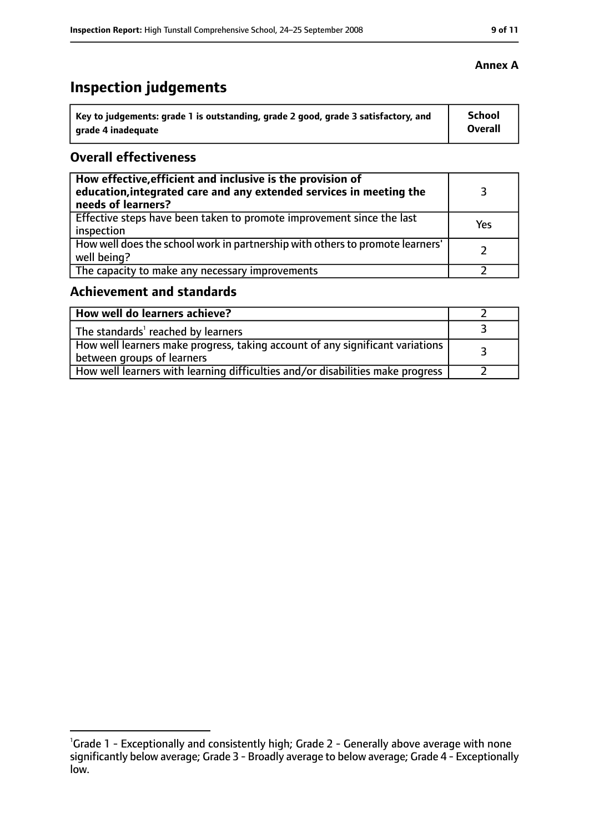# **Inspection judgements**

| Key to judgements: grade 1 is outstanding, grade 2 good, grade 3 satisfactory, and | School  |
|------------------------------------------------------------------------------------|---------|
| arade 4 inadequate                                                                 | Overall |

## **Overall effectiveness**

| How effective, efficient and inclusive is the provision of<br>education, integrated care and any extended services in meeting the<br>needs of learners? |     |
|---------------------------------------------------------------------------------------------------------------------------------------------------------|-----|
| Effective steps have been taken to promote improvement since the last<br>inspection                                                                     | Yes |
| How well does the school work in partnership with others to promote learners'<br>well being?                                                            |     |
| The capacity to make any necessary improvements                                                                                                         |     |

## **Achievement and standards**

| How well do learners achieve?                                                                                 |  |
|---------------------------------------------------------------------------------------------------------------|--|
| The standards' reached by learners                                                                            |  |
| How well learners make progress, taking account of any significant variations  <br>between groups of learners |  |
| How well learners with learning difficulties and/or disabilities make progress                                |  |

<sup>&</sup>lt;sup>1</sup>Grade 1 - Exceptionally and consistently high; Grade 2 - Generally above average with none significantly below average; Grade 3 - Broadly average to below average; Grade 4 - Exceptionally low.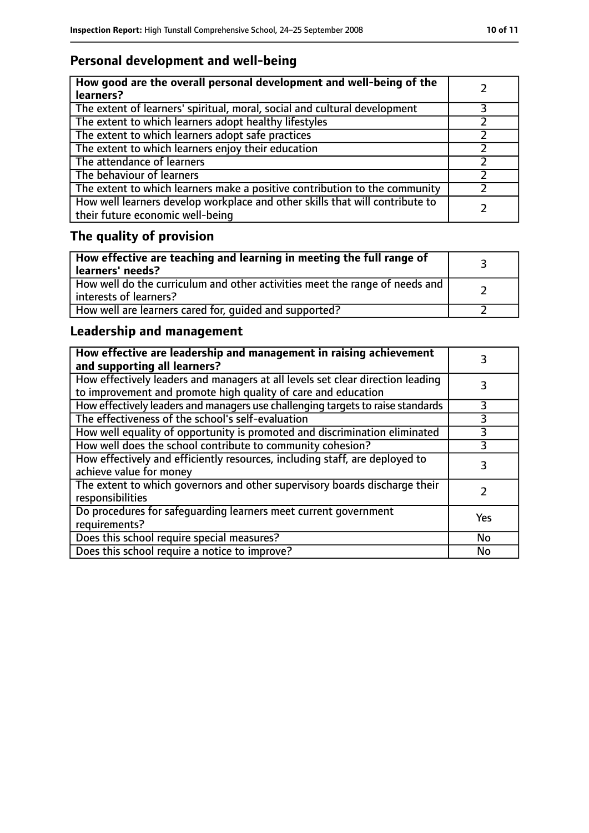# **Personal development and well-being**

| How good are the overall personal development and well-being of the<br>learners?                                 |  |
|------------------------------------------------------------------------------------------------------------------|--|
| The extent of learners' spiritual, moral, social and cultural development                                        |  |
| The extent to which learners adopt healthy lifestyles                                                            |  |
| The extent to which learners adopt safe practices                                                                |  |
| The extent to which learners enjoy their education                                                               |  |
| The attendance of learners                                                                                       |  |
| The behaviour of learners                                                                                        |  |
| The extent to which learners make a positive contribution to the community                                       |  |
| How well learners develop workplace and other skills that will contribute to<br>their future economic well-being |  |

# **The quality of provision**

| How effective are teaching and learning in meeting the full range of<br>learners' needs?              |  |
|-------------------------------------------------------------------------------------------------------|--|
| How well do the curriculum and other activities meet the range of needs and<br>interests of learners? |  |
| How well are learners cared for, quided and supported?                                                |  |

## **Leadership and management**

| How effective are leadership and management in raising achievement<br>and supporting all learners?                                              |           |
|-------------------------------------------------------------------------------------------------------------------------------------------------|-----------|
| How effectively leaders and managers at all levels set clear direction leading<br>to improvement and promote high quality of care and education |           |
| How effectively leaders and managers use challenging targets to raise standards                                                                 | 3         |
| The effectiveness of the school's self-evaluation                                                                                               | 3         |
| How well equality of opportunity is promoted and discrimination eliminated                                                                      |           |
| How well does the school contribute to community cohesion?                                                                                      | 3         |
| How effectively and efficiently resources, including staff, are deployed to<br>achieve value for money                                          | 3         |
| The extent to which governors and other supervisory boards discharge their<br>responsibilities                                                  |           |
| Do procedures for safequarding learners meet current government<br>requirements?                                                                | Yes       |
| Does this school require special measures?                                                                                                      | No        |
| Does this school require a notice to improve?                                                                                                   | <b>No</b> |